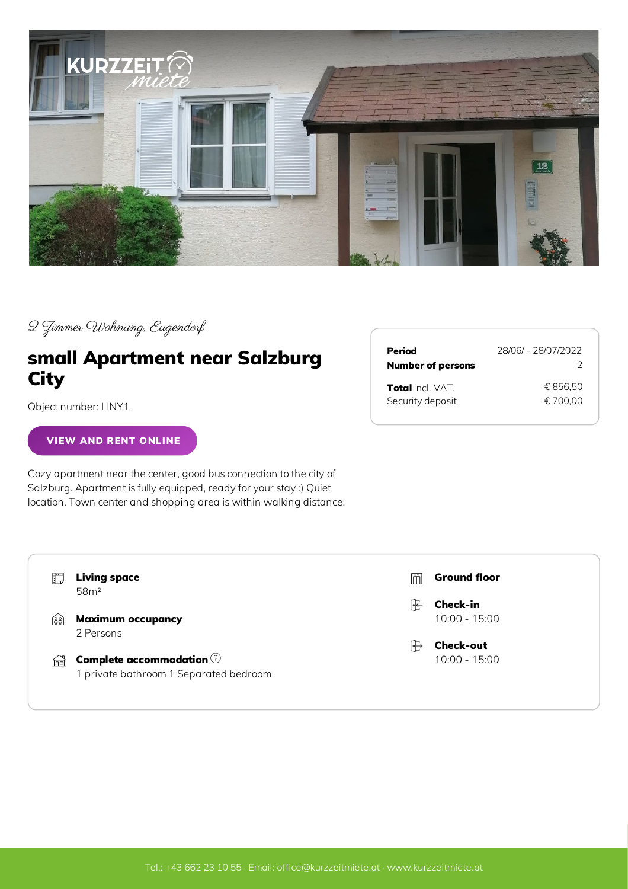

2 Zimmer Wohnung, Eugendorf

## small Apartment near Salzburg **City**

Object number: LINY1

## VIEW AND RENT [ONLINE](https://www.kurzzeitmiete.at/en/Accommodations/small-Apartment-near-Salzburg-City_a_7424107)

Cozy apartment near the center, good bus connection to the city of Salzburg. Apartment is fully equipped, ready for your stay :) Quiet location. Town center and shopping area is within walking distance.

| Period                   | 28/06/ - 28/07/2022 |
|--------------------------|---------------------|
| <b>Number of persons</b> | 2                   |
| <b>Total</b> incl. VAT.  | € 856.50            |
| Security deposit         | € 700.00            |

|        | <b>Living space</b><br>58 <sup>m²</sup>                                         | lmi | <b>Ground floor</b> |
|--------|---------------------------------------------------------------------------------|-----|---------------------|
|        |                                                                                 | 厇   | <b>Check-in</b>     |
| કિર્દે | <b>Maximum occupancy</b>                                                        |     | $10:00 - 15:00$     |
|        | 2 Persons                                                                       |     |                     |
|        |                                                                                 | ।ਿ⊹ | <b>Check-out</b>    |
| 倫      | Complete accommodation $\circledcirc$<br>1 private bathroom 1 Separated bedroom |     | $10:00 - 15:00$     |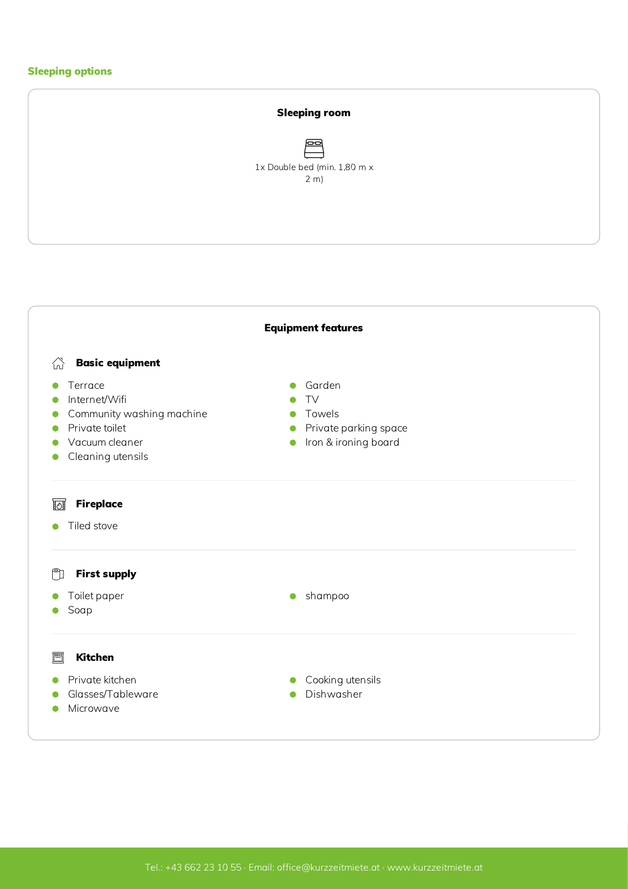## Sleeping options



<span id="page-1-0"></span>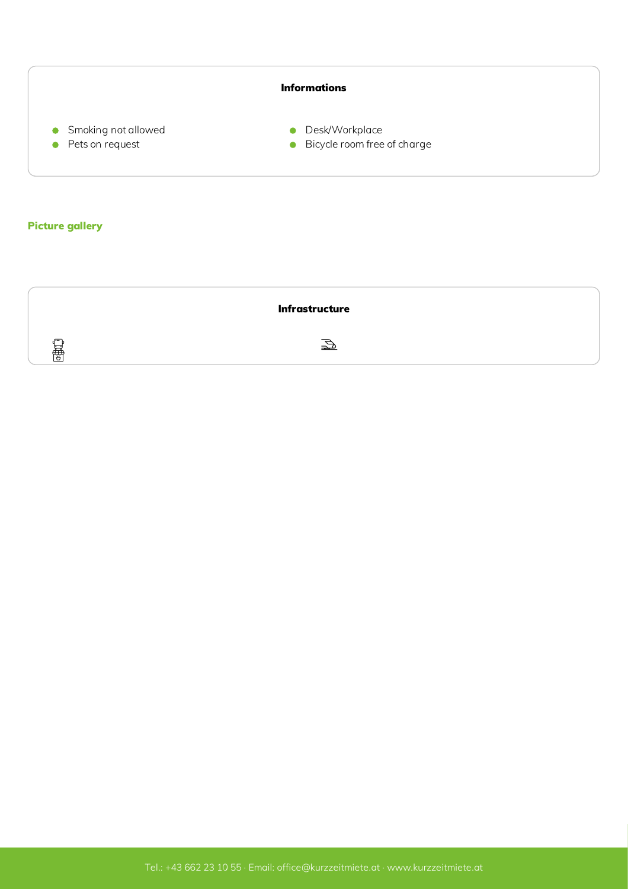<span id="page-2-0"></span>

<span id="page-2-1"></span>